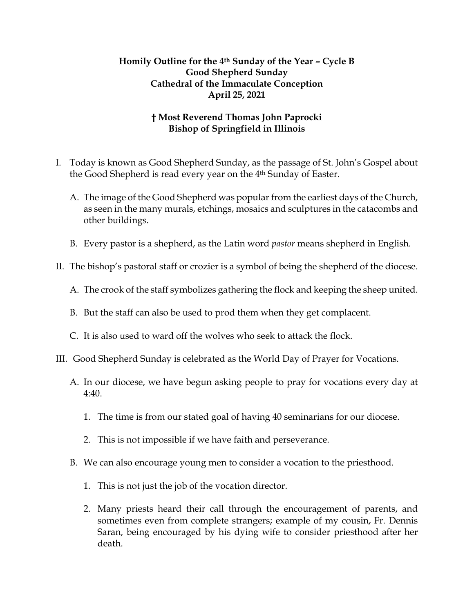## **Homily Outline for the 4th Sunday of the Year – Cycle B Good Shepherd Sunday Cathedral of the Immaculate Conception April 25, 2021**

## **† Most Reverend Thomas John Paprocki Bishop of Springfield in Illinois**

- I. Today is known as Good Shepherd Sunday, as the passage of St. John's Gospel about the Good Shepherd is read every year on the 4<sup>th</sup> Sunday of Easter.
	- A. The image of the Good Shepherd was popular from the earliest days of the Church, as seen in the many murals, etchings, mosaics and sculptures in the catacombs and other buildings.
	- B. Every pastor is a shepherd, as the Latin word *pastor* means shepherd in English.
- II. The bishop's pastoral staff or crozier is a symbol of being the shepherd of the diocese.
	- A. The crook of the staff symbolizes gathering the flock and keeping the sheep united.
	- B. But the staff can also be used to prod them when they get complacent.
	- C. It is also used to ward off the wolves who seek to attack the flock.
- III. Good Shepherd Sunday is celebrated as the World Day of Prayer for Vocations.
	- A. In our diocese, we have begun asking people to pray for vocations every day at 4:40.
		- 1. The time is from our stated goal of having 40 seminarians for our diocese.
		- 2. This is not impossible if we have faith and perseverance.
	- B. We can also encourage young men to consider a vocation to the priesthood.
		- 1. This is not just the job of the vocation director.
		- 2. Many priests heard their call through the encouragement of parents, and sometimes even from complete strangers; example of my cousin, Fr. Dennis Saran, being encouraged by his dying wife to consider priesthood after her death.